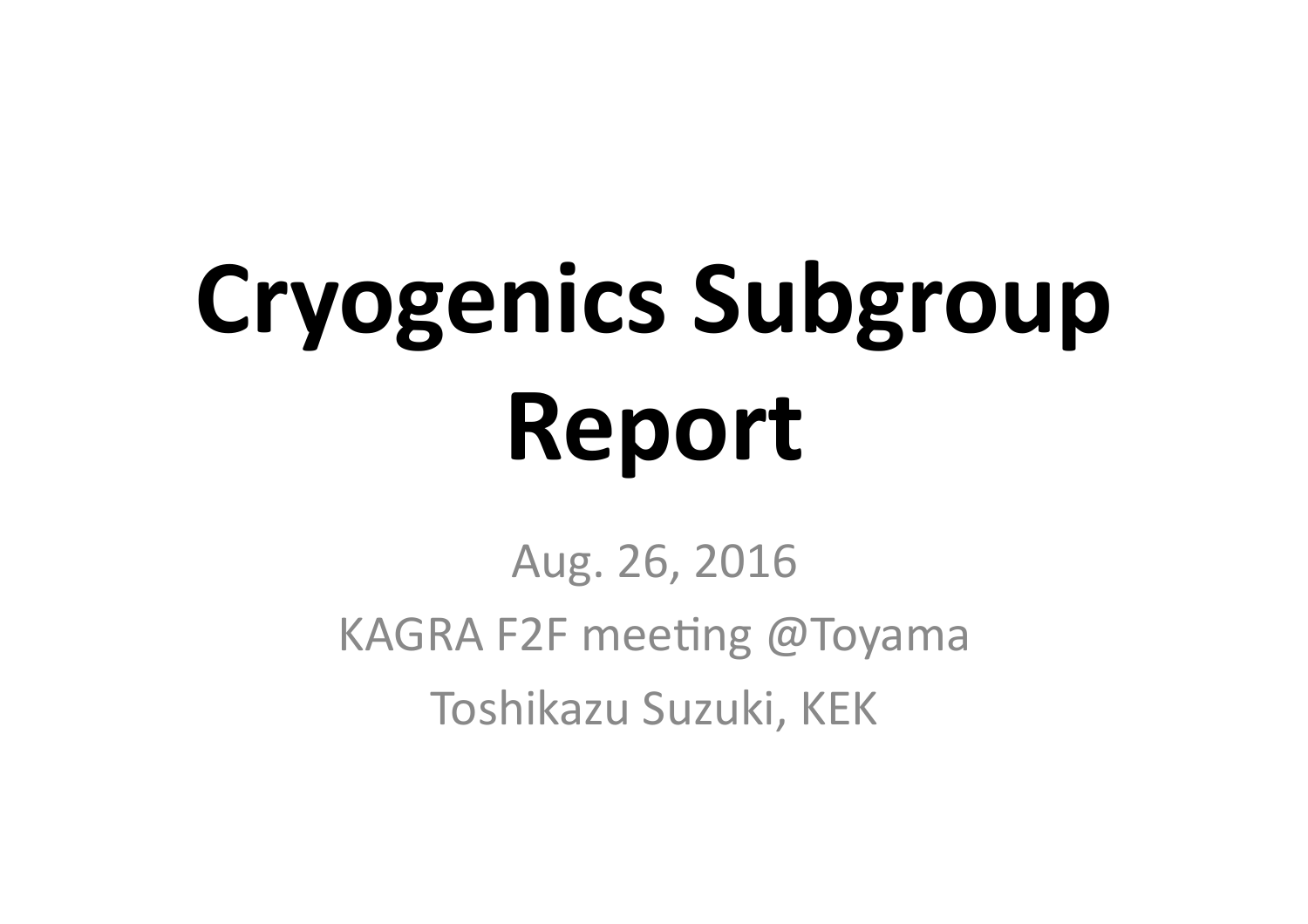# **Cryogenics Subgroup Report**

Aug. 26, 2016 KAGRA F2F meeting @Toyama Toshikazu Suzuki, KEK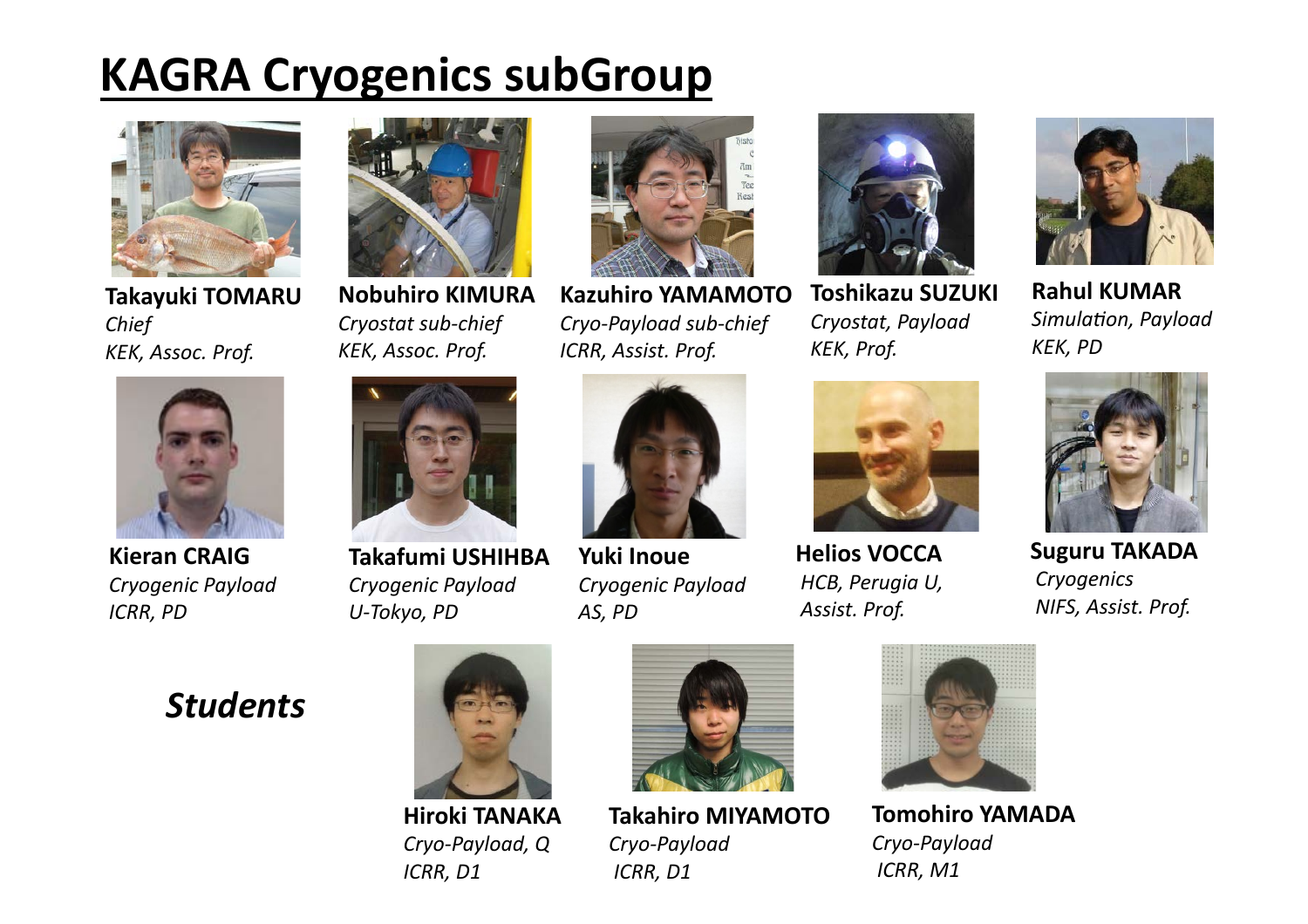### **KAGRA Cryogenics subGroup**



**Takayuki TOMARU** *Chief KEK, Assoc. Prof.*



**Kieran CRAIG** *Cryogenic Payload ICRR, PD*



**Nobuhiro KIMURA Cryostat sub-chief** *KEK, Assoc. Prof.*



**Takafumi USHIHBA**  *Cryogenic Payload U-Tokyo, PD*



**Kazuhiro YAMAMOTO** *Cryo-Payload sub-chief ICRR, Assist. Prof.*



**Yuki Inoue** *Cryogenic Payload AS, PD*



**Toshikazu SUZUKI** *Cryostat, Payload KEK, Prof.*



**Helios VOCCA**   *HCB, Perugia U, Assist. Prof.*



**Rahul KUMAR** *Simulation, Payload KEK, PD*



**Suguru TAKADA**  *Cryogenics NIFS, Assist. Prof.*

#### *Students*



**Hiroki TANAKA** *Cryo-Payload, Q ICRR, D1*



**Takahiro MIYAMOTO** *Cryo-Payload ICRR, D1*



**Tomohiro YAMADA**  *Cryo-Payload ICRR, M1*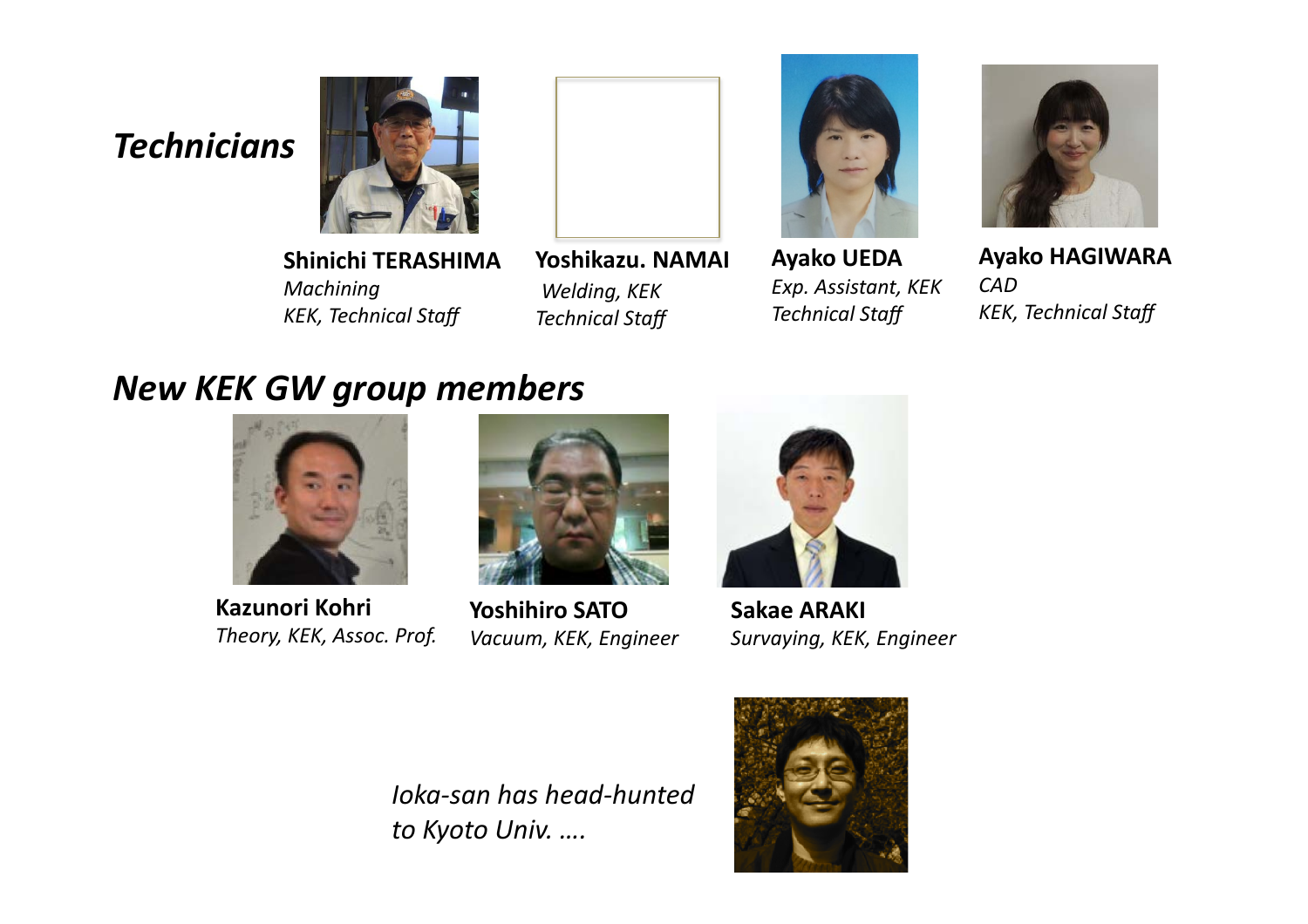#### *Technicians*



**Shinichi TERASHIMA** *Machining KEK, Technical Staff*

Yoshikazu. NAMAI *Welding, KEK Technical Staff*



**Ayako UEDA** *Exp. Assistant, KEK Technical Staff*



**Ayako HAGIWARA** *CAD KEK, Technical Staff*

#### *New KEK GW group members*



**Kazunori Kohri Theory, KEK, Assoc. Prof.** 



**Yoshihiro SATO** *Vacuum, KEK, Engineer*



**Sakae ARAKI** *Survaying, KEK, Engineer*

*Ioka-san has head-hunted to Kyoto Univ. ….*

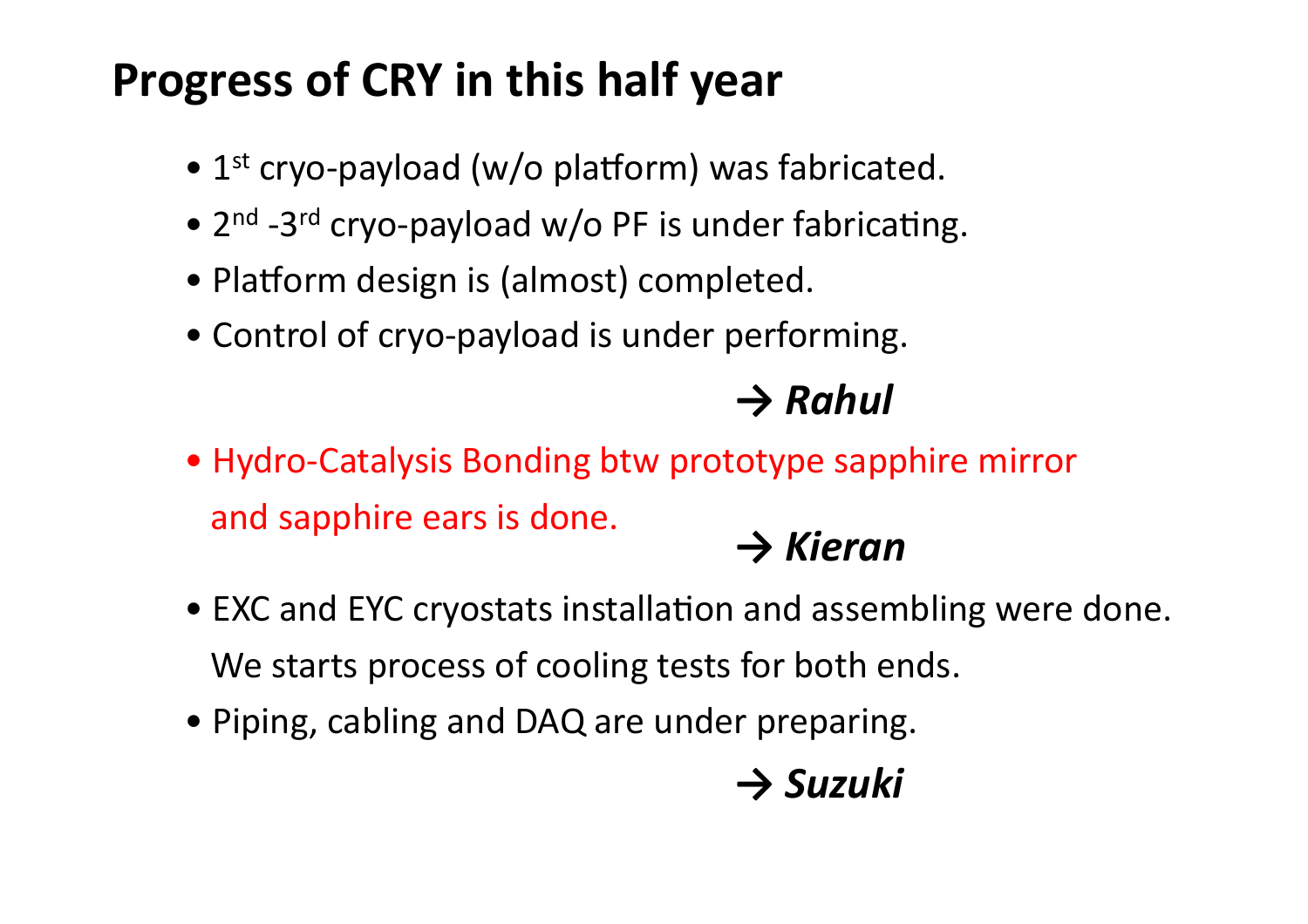# **Progress of CRY in this half year**

- $1<sup>st</sup>$  cryo-payload (w/o platform) was fabricated.
- $2^{nd}$  -3<sup>rd</sup> cryo-payload w/o PF is under fabricating.
- Platform design is (almost) completed.
- Control of cryo-payload is under performing.

#### *→ Rahul*

• Hydro-Catalysis Bonding btw prototype sapphire mirror and sapphire ears is done. → **Kieran** 

- EXC and EYC cryostats installation and assembling were done. We starts process of cooling tests for both ends.
- Piping, cabling and DAQ are under preparing.

# *→ Suzuki*